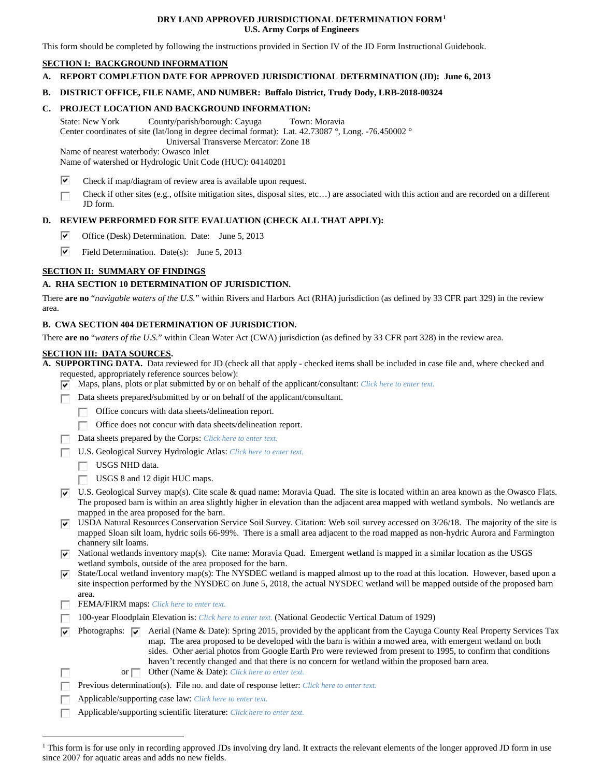#### **DRY LAND APPROVED JURISDICTIONAL DETERMINATION FORM[1](#page-0-0) U.S. Army Corps of Engineers**

This form should be completed by following the instructions provided in Section IV of the JD Form Instructional Guidebook.

# **SECTION I: BACKGROUND INFORMATION**

**A. REPORT COMPLETION DATE FOR APPROVED JURISDICTIONAL DETERMINATION (JD): June 6, 2013**

#### **B. DISTRICT OFFICE, FILE NAME, AND NUMBER: Buffalo District, Trudy Dody, LRB-2018-00324**

#### **C. PROJECT LOCATION AND BACKGROUND INFORMATION:**

State: New York County/parish/borough: Cayuga Town: Moravia Center coordinates of site (lat/long in degree decimal format): Lat. 42.73087 °, Long. -76.450002 ° Universal Transverse Mercator: Zone 18

Name of nearest waterbody: Owasco Inlet

Name of watershed or Hydrologic Unit Code (HUC): 04140201

- ⊽ Check if map/diagram of review area is available upon request.
- Check if other sites (e.g., offsite mitigation sites, disposal sites, etc…) are associated with this action and are recorded on a different Г JD form.

## **D. REVIEW PERFORMED FOR SITE EVALUATION (CHECK ALL THAT APPLY):**

- ⊽ Office (Desk) Determination. Date: June 5, 2013
- ⊽ Field Determination. Date(s): June 5, 2013

## **SECTION II: SUMMARY OF FINDINGS**

## **A. RHA SECTION 10 DETERMINATION OF JURISDICTION.**

There **are no** "*navigable waters of the U.S.*" within Rivers and Harbors Act (RHA) jurisdiction (as defined by 33 CFR part 329) in the review area.

## **B. CWA SECTION 404 DETERMINATION OF JURISDICTION.**

There **are no** "*waters of the U.S.*" within Clean Water Act (CWA) jurisdiction (as defined by 33 CFR part 328) in the review area.

#### **SECTION III: DATA SOURCES.**

**A. SUPPORTING DATA.** Data reviewed for JD (check all that apply - checked items shall be included in case file and, where checked and requested, appropriately reference sources below):

- Maps, plans, plots or plat submitted by or on behalf of the applicant/consultant: *Click here to enter text.*
- Data sheets prepared/submitted by or on behalf of the applicant/consultant.
	- Office concurs with data sheets/delineation report.
	- Office does not concur with data sheets/delineation report.
	- Data sheets prepared by the Corps: *Click here to enter text.*
- U.S. Geological Survey Hydrologic Atlas: *Click here to enter text.*
	- USGS NHD data.
	- USGS 8 and 12 digit HUC maps.
- U.S. Geological Survey map(s). Cite scale & quad name: Moravia Quad. The site is located within an area known as the Owasco Flats. The proposed barn is within an area slightly higher in elevation than the adjacent area mapped with wetland symbols. No wetlands are mapped in the area proposed for the barn.
- USDA Natural Resources Conservation Service Soil Survey. Citation: Web soil survey accessed on  $3/26/18$ . The majority of the site is mapped Sloan silt loam, hydric soils 66-99%. There is a small area adjacent to the road mapped as non-hydric Aurora and Farmington channery silt loams.
- $\triangledown$  National wetlands inventory map(s). Cite name: Moravia Quad. Emergent wetland is mapped in a similar location as the USGS wetland symbols, outside of the area proposed for the barn.
- State/Local wetland inventory map(s): The NYSDEC wetland is mapped almost up to the road at this location. However, based upon a site inspection performed by the NYSDEC on June 5, 2018, the actual NYSDEC wetland will be mapped outside of the proposed barn area.
- FEMA/FIRM maps: *Click here to enter text.*
- 100-year Floodplain Elevation is: *Click here to enter text.* (National Geodectic Vertical Datum of 1929)
- Photographs:  $\overline{\blacktriangledown}$  Aerial (Name & Date): Spring 2015, provided by the applicant from the Cayuga County Real Property Services Tax ⊽ map. The area proposed to be developed with the barn is within a mowed area, with emergent wetland on both sides. Other aerial photos from Google Earth Pro were reviewed from present to 1995, to confirm that conditions haven't recently changed and that there is no concern for wetland within the proposed barn area.
	- or Other (Name & Date): *Click here to enter text.*
	- Previous determination(s). File no. and date of response letter: *Click here to enter text.*
	- Applicable/supporting case law: *Click here to enter text.*
- Applicable/supporting scientific literature: *Click here to enter text.* ▔

<span id="page-0-0"></span><sup>&</sup>lt;sup>1</sup> This form is for use only in recording approved JDs involving dry land. It extracts the relevant elements of the longer approved JD form in use since 2007 for aquatic areas and adds no new fields.